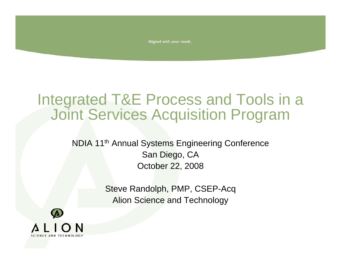Aligned with your needs.

# Integrated T&E Process and Tools in a Joint Services Acquisition Program

NDIA 11th Annual Systems Engineering Conference San Diego, CA October 22, 2008

> Steve Randolph, PMP, CSEP-Acq Alion Science and Technology

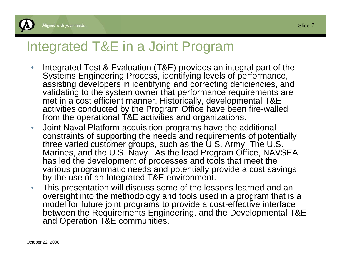

#### Integrated T&E in a Joint Program

- • Integrated Test & Evaluation (T&E) provides an integral part of the Systems Engineering Process, identifying levels of performance, assisting developers in identifying and correcting deficiencies, and validating to the system owner that performance requirements are met in a cost efficient manner. Historically, developmental T&E activities conducted by the Program Office have been fire-walled from the operational T&E activities and organizations.
- $\bullet$  Joint Naval Platform acquisition programs have the additional constraints of supporting the needs and requirements of potentially three varied customer groups, such as the U.S. Army, The U.S. Marines, and the U.S. Navy. As the lead Program Office, NAVSEA has led the development of processes and tools that meet the various programmatic needs and potentially provide a cost savings by the use of an Integrated T&E environment.
- $\bullet$  This presentation will discuss some of the lessons learned and an oversight into the methodology and tools used in a program that is a model for future joint programs to provide a cost-effective interface between the Requirements Engineering, and the Developmental T&E and Operation T&E communities.

Slide  $2$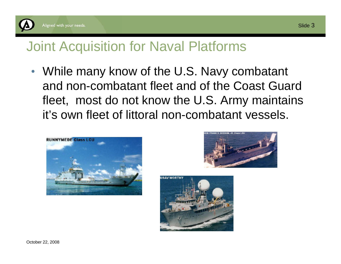

#### Aligned with your needs.

## Joint Acquisition for Naval Platforms

• While many know of the U.S. Navy combatant and non-combatant fleet and of the Coast Guard fleet, most do not know the U.S. Army maintains it's own fleet of littoral non-combatant vessels.





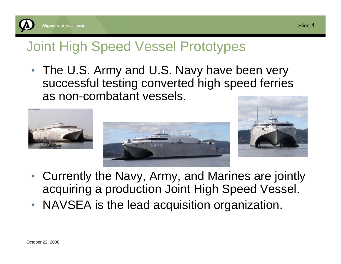

# Joint High Speed Vessel Prototypes

• The U.S. Army and U.S. Navy have been very successful testing converted high speed ferries as non-combatant vessels.



- Currently the Navy, Army, and Marines are jointly acquiring a production Joint High Speed Vessel.
- NAVSEA is the lead acquisition organization.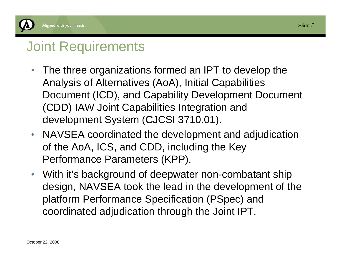

# Joint Requirements

- $\bullet$  The three organizations formed an IPT to develop the Analysis of Alternatives (AoA), Initial Capabilities Document (ICD), and Capability Development Document (CDD) IAW Joint Capabilities Integration and development System (CJCSI 3710.01).
- $\bullet$  NAVSEA coordinated the development and adjudication of the AoA, ICS, and CDD, including the Key Performance Parameters (KPP).
- $\bullet$  With it's background of deepwater non-combatant ship design, NAVSEA took the lead in the development of the platform Performance Specification (PSpec) and coordinated adjudication through the Joint IPT.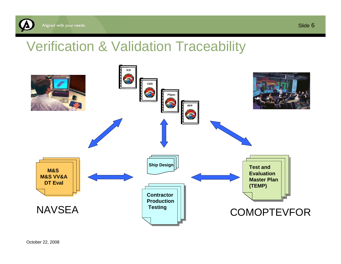

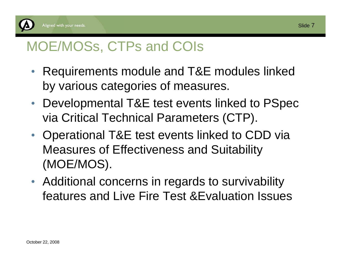

## MOE/MOSs, CTPs and COIs

- Requirements module and T&E modules linked by various categories of measures.
- $\bullet$  Developmental T&E test events linked to PSpec via Critical Technical Parameters (CTP).
- Operational T&E test events linked to CDD via Measures of Effectiveness and Suitability (MOE/MOS).
- Additional concerns in regards to survivability features and Live Fire Test &Evaluation Issues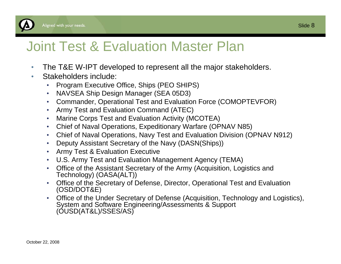

## Joint Test & Evaluation Master Plan

- $\bullet$ The T&E W-IPT developed to represent all the major stakeholders.
- $\bullet$  Stakeholders include:
	- •Program Executive Office, Ships (PEO SHIPS)
	- $\bullet$ NAVSEA Ship Design Manager (SEA 05D3)
	- $\bullet$ Commander, Operational Test and Evaluation Force (COMOPTEVFOR)
	- •Army Test and Evaluation Command (ATEC)
	- •Marine Corps Test and Evaluation Activity (MCOTEA)
	- $\bullet$ Chief of Naval Operations, Expeditionary Warfare (OPNAV N85)
	- $\bullet$ Chief of Naval Operations, Navy Test and Evaluation Division (OPNAV N912)
	- $\bullet$ Deputy Assistant Secretary of the Navy (DASN(Ships))
	- •Army Test & Evaluation Executive
	- •U.S. Army Test and Evaluation Management Agency (TEMA)
	- $\bullet$  Office of the Assistant Secretary of the Army (Acquisition, Logistics and Technology) (OASA(ALT))
	- $\bullet$  Office of the Secretary of Defense, Director, Operational Test and Evaluation (OSD/DOT&E)
	- • Office of the Under Secretary of Defense (Acquisition, Technology and Logistics), System and Software Engineering/Assessments & Support (OUSD(AT&L)/SSES/AS)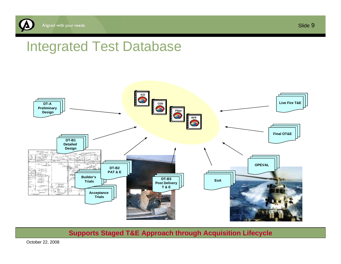

## Integrated Test Database



**Supports Staged T&E Approach through Acquisition Lifecycle**

October 22, 2008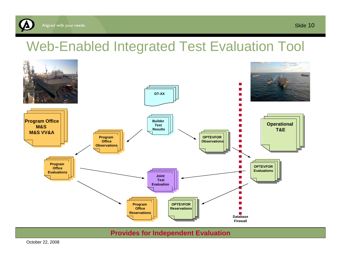

# Web-Enabled Integrated Test Evaluation Tool



#### **Provides for Independent Evaluation**

October 22, 2008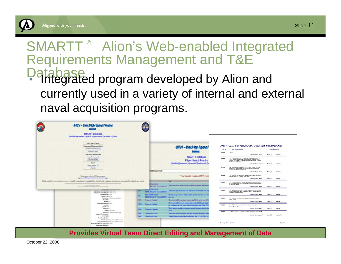

# Slide 11

#### SMARTT ® Alion's Web-enabled Integrated Requirements Management and T&E Database. • Integrated program developed by Alion and currently used in a variety of internal and external naval acquisition programs.



**Provides Virtual Team Direct Editing and Management of Data**